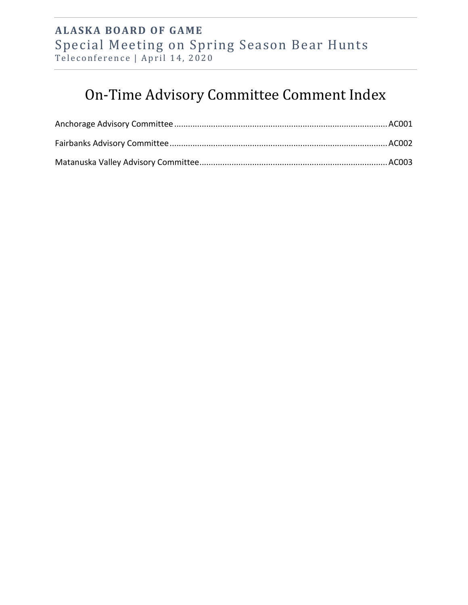## **ALASKA BOARD OF GAME**  Special Meeting on Spring Season Bear Hunts Teleconference | April 14, 2020

## On-Time Advisory Committee Comment Index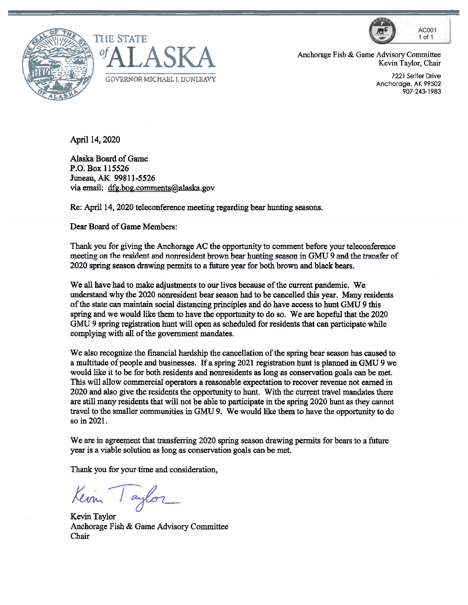





Anchorage Fish & Game Advisory Committee Kevin Taylor, Chair

> Anchorage, AK 99502 907-243-1983

April 14, 2020

Alaska Board of Game P.O. Box 115526 Juneau,AK 99811-5526 via email: [dfg.bog.comments@alaska.gov](mailto:dfg.bog.comments@alaska.gov)

Re: April 14, 2020 teleconference meeting regarding bear hunting seasons.

Dear Board of Game Members:

Thank you for giving the Anchorage AC the opportunity to comment before your teleconference meeting on the resident and nonresident brown bear hunting season in GMU 9 and the transfer of 2020 spring season drawing permits to a future year for both brown and black bears.

We all have had to make adjustments to our lives because of the current pandemic. We understand why the 2020 nonresident bear season had to be cancelled this year. Many residents ofthe state can maintain social distancing principles and do have access to hunt GMU 9 this spring and we would like them to have the opportunity to do so. We are hopeful that the 2020 GMU 9 spring registration hunt will open as scheduled for residents that can participate while complying with all of the government mandates.

We also recognize the financial hardship the cancellation of the spring bear season has caused to a multitude of people and businesses. If a spring 2021 registration hunt is planned in GMU 9 we would like it to be for both residents and nonresidents as long as conservation goals can be met. This will allow commercial operators a reasonable expectation to recover revenue not earned in 2020 and also give the residents the opportunity to hunt. With the current travel mandates there are still many residents that will not be abie to participate in the spring 2020 hunt as they cannot travel to the smaller communities in GMU 9. We would like them to have the opportunity to do so in 2021.

We are in agreement that transferring 2020 spring season drawing permits for bears to a future year is a viable solution as long as conservation goals can be met.

Thank you for your time and consideration,

Keom Taylor

Kevin Taylor Anchorage Fish & Game Advisory Committee Chair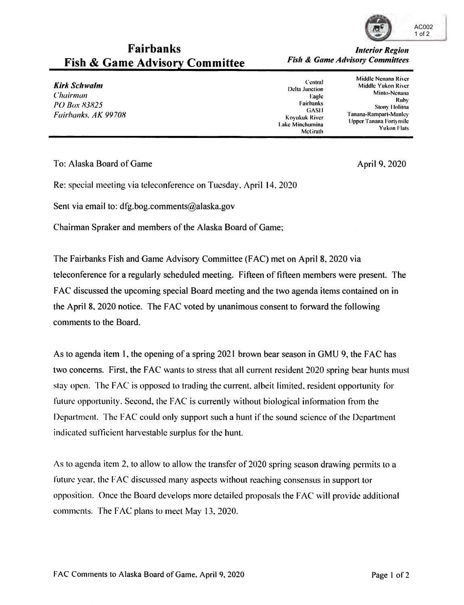

## **Fairbanks** *<i>Interior Region* **Fish & Game Advisory Committee** *Fish & Game Advisory Committees*

Middle Nenana River **Kirk** *Schwalm*<br>Chairman Middle Yukon River River Delta Junction Middle Yukon River Delta Junction Middle Yukon River Perana<br>Ruhy Ruhy PO Box 83825<br>
Fairbanks. *AK 99708* **Stony 101ina 199708 Stony 101ina Bairbanks.** *AK 99708* **<b>Stony 101ina Pairbanks**<br>Lake Minchumina *Upper* Tanana Fortymile 199708 **Pairbanks** McGrath *Pulson Flats* McGrath *Pulso* 

To: Alaska Board of Game April 9, 2020

Re: special meeting via teleconference on Tuesday. April 14. 2020

Sent via email to: dfg.bog.comments@alaska.gov

Chairman Spraker and members of the Alaska Board of Game;

The Fairbanks Fish and Game Advisory Committee (F AC) met on April 8, 2020 via teleconference for a regularly scheduled meeting. Fifteen of fifteen members were present. The <sup>F</sup>AC discussed the upcoming special Board meeting and the two agenda items contained on in the April 8, 2020 notice. The FAC voted by unanimous consent to forward the following comments to the Board.

As to agenda item 1, the opening of a spring 2021 brown bear season in GMU 9, the FAC has two concerns. First, the FAC wants to stress that all current resident 2020 spring bear hunts must stay open. The FAC is opposed to trading the current, albeit limited, resident opportunity for future opportunity. Second, the FAC is currently without biological information from the Department. The FAC could only support such a hunt if the sound science of the Department indicated sufficient harvestablc surplus for the hunt.

As to agenda item 2, to allow to allow the transfer of 2020 spring season drawing permits to a future year, the FAC discussed many aspects without reaching consensus in support tor opposition. Once the Board develops more detailed proposals the FAC will provide additional comments. The FAC plans to meet May 13, 2020.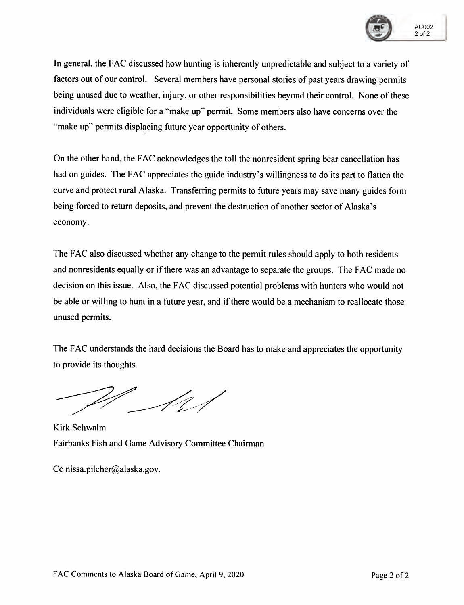

In general, the FAC discussed how hunting is inherently unpredictable and subject to a variety of factors out of our control. Several members have personal stories of past years drawing permits being unused due to weather. injury, or other responsibilities beyond their control. None of these individuals were eligible for a "make up" permit. Some members also have concerns over the "make up" permits displacing future year opportunity of others.

On the other hand, the FAC acknowledges the toll the nonresident spring bear cancellation has had on guides. The FAC appreciates the guide industry's willingness to do its part to flatten the curve and protect rural Alaska. Transferring permits to future years may save many guides form being forced to return deposits, and prevent the destruction of another sector of Alaska's economy.

The FAC also discussed whether any change to the permit rules should apply to both residents and nonresidents equally or if there was an advantage to separate the groups. The FAC made no decision on this issue. Also, the FAC discussed potential problems with hunters who would not be able or willing to hunt in a future year, and if there would be a mechanism to reallocate those unused permits.

The FAC understands the hard decisions the Board has to make and appreciates the opportunity to provide its thoughts.

**Kirk** Schwalm Fairbanks Fish and Game Advisory Committee Chairman

Cc [nissa.pilcher@alaska.gov](mailto:nissa.pilcher@alaska.gov).